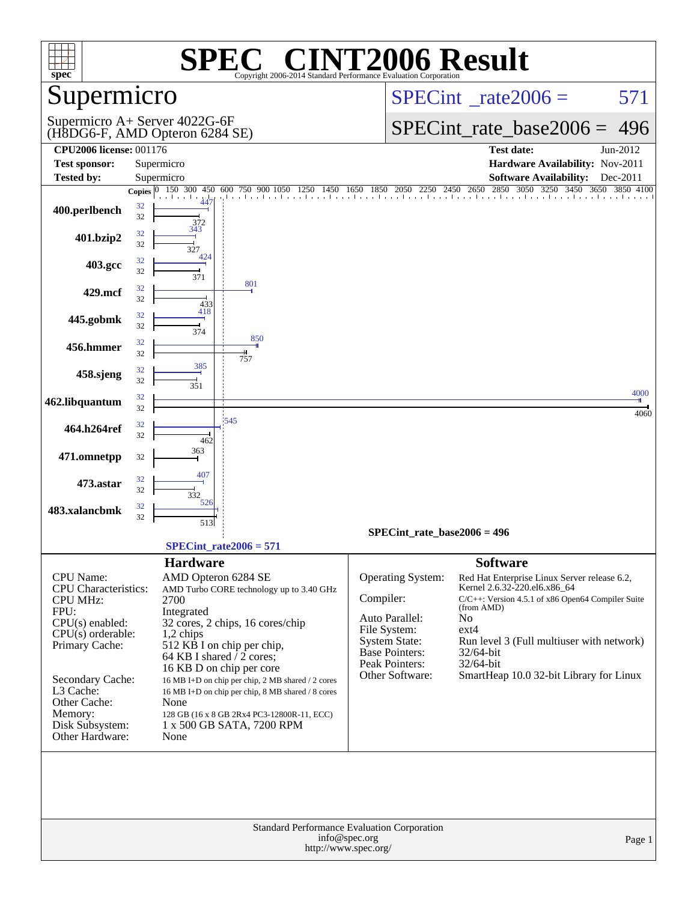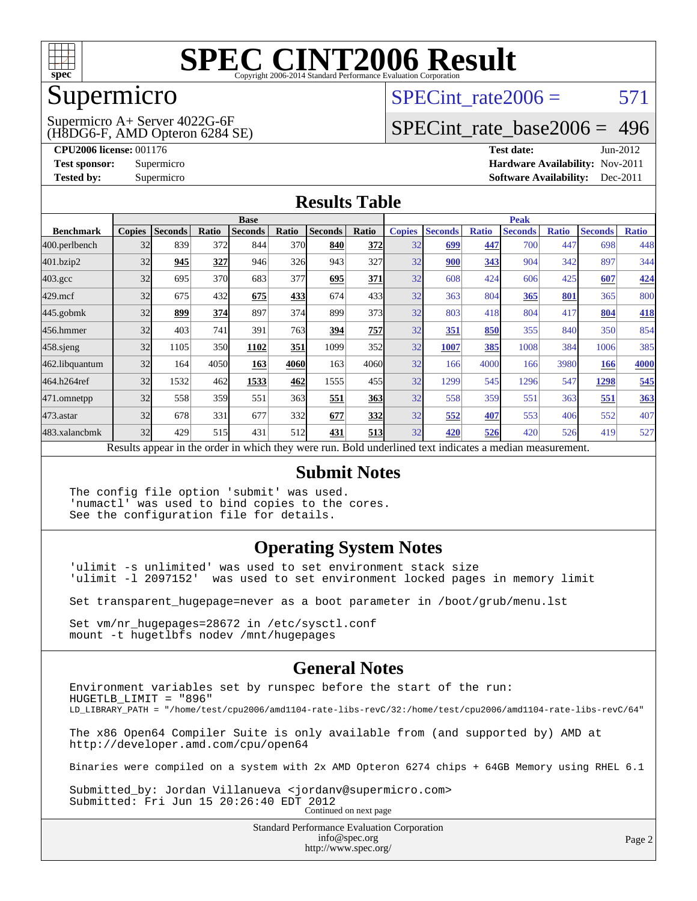

#### Supermicro

#### (H8DG6-F, AMD Opteron 6284 SE) Supermicro A+ Server 4022G-6F

SPECint rate $2006 = 571$ 

### [SPECint\\_rate\\_base2006 =](http://www.spec.org/auto/cpu2006/Docs/result-fields.html#SPECintratebase2006) 496

**[CPU2006 license:](http://www.spec.org/auto/cpu2006/Docs/result-fields.html#CPU2006license)** 001176 **[Test date:](http://www.spec.org/auto/cpu2006/Docs/result-fields.html#Testdate)** Jun-2012 **[Test sponsor:](http://www.spec.org/auto/cpu2006/Docs/result-fields.html#Testsponsor)** Supermicro **[Hardware Availability:](http://www.spec.org/auto/cpu2006/Docs/result-fields.html#HardwareAvailability)** Nov-2011 **[Tested by:](http://www.spec.org/auto/cpu2006/Docs/result-fields.html#Testedby)** Supermicro **Supermicro [Software Availability:](http://www.spec.org/auto/cpu2006/Docs/result-fields.html#SoftwareAvailability)** Dec-2011

#### **[Results Table](http://www.spec.org/auto/cpu2006/Docs/result-fields.html#ResultsTable)**

|                                                                                                          | <b>Base</b>   |                |       |                |            | <b>Peak</b>    |       |               |                |              |                |              |                |              |
|----------------------------------------------------------------------------------------------------------|---------------|----------------|-------|----------------|------------|----------------|-------|---------------|----------------|--------------|----------------|--------------|----------------|--------------|
| <b>Benchmark</b>                                                                                         | <b>Copies</b> | <b>Seconds</b> | Ratio | <b>Seconds</b> | Ratio      | <b>Seconds</b> | Ratio | <b>Copies</b> | <b>Seconds</b> | <b>Ratio</b> | <b>Seconds</b> | <b>Ratio</b> | <b>Seconds</b> | <b>Ratio</b> |
| 400.perlbench                                                                                            | 32            | 839            | 372   | 844            | 370I       | 840            | 372   | 32            | 699            | 447          | 700            | 447          | 698            | 448          |
| 401.bzip2                                                                                                | 32            | 945            | 327   | 946            | <b>326</b> | 943            | 327   | 32            | 900            | 343          | 904            | 342          | 897            | 344          |
| $403.\mathrm{gcc}$                                                                                       | 32            | 695            | 370   | 683            | 377        | 695            | 371   | 32            | 608            | 424          | 606            | 425          | 607            | 424          |
| $429$ .mcf                                                                                               | 32            | 675            | 432   | 675            | 433        | 674            | 433   | 32            | 363            | 804          | 365            | 801          | 365            | 800          |
| $445$ .gobmk                                                                                             | 32            | 899            | 374   | 897            | 374        | 899            | 373   | 32            | 803            | 418          | 804            | 417          | 804            | <u>418</u>   |
| 456.hmmer                                                                                                | 32            | 403            | 741   | 391            | 763        | 394            | 757   | 32            | 351            | 850          | 355            | 840          | 350            | 854          |
| $458$ .sjeng                                                                                             | 32            | 1105           | 350   | 1102           | 351        | 1099           | 352   | 32            | 1007           | 385          | 1008           | 384          | 1006           | 385          |
| 462.libquantum                                                                                           | 32            | 164            | 4050  | 163            | 4060       | 163            | 4060  | 32            | 166            | 4000         | 166            | 3980         | 166            | 4000         |
| 464.h264ref                                                                                              | 32            | 1532           | 462   | 1533           | 462        | 1555           | 455   | 32            | 1299           | 545          | 1296           | 547          | 1298           | 545          |
| 471.omnetpp                                                                                              | 32            | 558            | 359   | 551            | 363        | 551            | 363   | 32            | 558            | 359          | 551            | 363          | 551            | 363          |
| $473$ . astar                                                                                            | 32            | 678            | 331   | 677            | 332        | 677            | 332   | 32            | 552            | 407          | 553            | 406          | 552            | 407          |
| 483.xalancbmk                                                                                            | 32            | 429            | 515   | 431            | 512        | 431            | 513   | 32            | 420            | 526          | 420            | 526          | 419            | 527          |
| Results appear in the order in which they were run. Bold underlined text indicates a median measurement. |               |                |       |                |            |                |       |               |                |              |                |              |                |              |

#### **[Submit Notes](http://www.spec.org/auto/cpu2006/Docs/result-fields.html#SubmitNotes)**

The config file option 'submit' was used. 'numactl' was used to bind copies to the cores. See the configuration file for details.

#### **[Operating System Notes](http://www.spec.org/auto/cpu2006/Docs/result-fields.html#OperatingSystemNotes)**

'ulimit -s unlimited' was used to set environment stack size 'ulimit -l 2097152' was used to set environment locked pages in memory limit

Set transparent\_hugepage=never as a boot parameter in /boot/grub/menu.lst

Set vm/nr\_hugepages=28672 in /etc/sysctl.conf mount -t hugetlbfs nodev /mnt/hugepages

#### **[General Notes](http://www.spec.org/auto/cpu2006/Docs/result-fields.html#GeneralNotes)**

Environment variables set by runspec before the start of the run: HUGETLB\_LIMIT = "896" LD\_LIBRARY\_PATH = "/home/test/cpu2006/amd1104-rate-libs-revC/32:/home/test/cpu2006/amd1104-rate-libs-revC/64" The x86 Open64 Compiler Suite is only available from (and supported by) AMD at <http://developer.amd.com/cpu/open64> Binaries were compiled on a system with 2x AMD Opteron 6274 chips + 64GB Memory using RHEL 6.1 Submitted by: Jordan Villanueva <jordanv@supermicro.com> Submitted: Fri Jun 15 20:26:40 EDT 2012 Continued on next page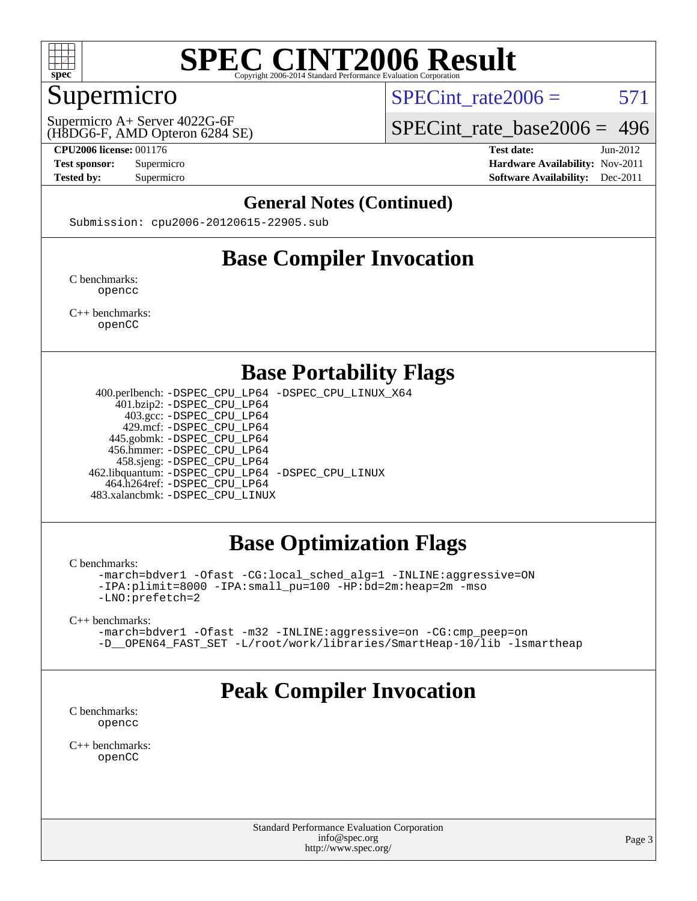

### Supermicro

SPECint rate $2006 = 571$ 

(H8DG6-F, AMD Opteron 6284 SE) Supermicro A+ Server 4022G-6F

SPECint rate base  $2006 = 496$ 

**[CPU2006 license:](http://www.spec.org/auto/cpu2006/Docs/result-fields.html#CPU2006license)** 001176 **[Test date:](http://www.spec.org/auto/cpu2006/Docs/result-fields.html#Testdate)** Jun-2012 **[Test sponsor:](http://www.spec.org/auto/cpu2006/Docs/result-fields.html#Testsponsor)** Supermicro **[Hardware Availability:](http://www.spec.org/auto/cpu2006/Docs/result-fields.html#HardwareAvailability)** Nov-2011 **[Tested by:](http://www.spec.org/auto/cpu2006/Docs/result-fields.html#Testedby)** Supermicro **Supermicro [Software Availability:](http://www.spec.org/auto/cpu2006/Docs/result-fields.html#SoftwareAvailability)** Dec-2011

#### **[General Notes \(Continued\)](http://www.spec.org/auto/cpu2006/Docs/result-fields.html#GeneralNotes)**

Submission: cpu2006-20120615-22905.sub

## **[Base Compiler Invocation](http://www.spec.org/auto/cpu2006/Docs/result-fields.html#BaseCompilerInvocation)**

[C benchmarks](http://www.spec.org/auto/cpu2006/Docs/result-fields.html#Cbenchmarks): [opencc](http://www.spec.org/cpu2006/results/res2012q3/cpu2006-20120615-22905.flags.html#user_CCbase_Fopencc)

[C++ benchmarks:](http://www.spec.org/auto/cpu2006/Docs/result-fields.html#CXXbenchmarks) [openCC](http://www.spec.org/cpu2006/results/res2012q3/cpu2006-20120615-22905.flags.html#user_CXXbase_FopenCC)

**[Base Portability Flags](http://www.spec.org/auto/cpu2006/Docs/result-fields.html#BasePortabilityFlags)**

 400.perlbench: [-DSPEC\\_CPU\\_LP64](http://www.spec.org/cpu2006/results/res2012q3/cpu2006-20120615-22905.flags.html#b400.perlbench_basePORTABILITY_DSPEC_CPU_LP64) [-DSPEC\\_CPU\\_LINUX\\_X64](http://www.spec.org/cpu2006/results/res2012q3/cpu2006-20120615-22905.flags.html#b400.perlbench_baseCPORTABILITY_DSPEC_CPU_LINUX_X64) 401.bzip2: [-DSPEC\\_CPU\\_LP64](http://www.spec.org/cpu2006/results/res2012q3/cpu2006-20120615-22905.flags.html#suite_basePORTABILITY401_bzip2_DSPEC_CPU_LP64) 403.gcc: [-DSPEC\\_CPU\\_LP64](http://www.spec.org/cpu2006/results/res2012q3/cpu2006-20120615-22905.flags.html#suite_basePORTABILITY403_gcc_DSPEC_CPU_LP64) 429.mcf: [-DSPEC\\_CPU\\_LP64](http://www.spec.org/cpu2006/results/res2012q3/cpu2006-20120615-22905.flags.html#suite_basePORTABILITY429_mcf_DSPEC_CPU_LP64) 445.gobmk: [-DSPEC\\_CPU\\_LP64](http://www.spec.org/cpu2006/results/res2012q3/cpu2006-20120615-22905.flags.html#suite_basePORTABILITY445_gobmk_DSPEC_CPU_LP64) 456.hmmer: [-DSPEC\\_CPU\\_LP64](http://www.spec.org/cpu2006/results/res2012q3/cpu2006-20120615-22905.flags.html#suite_basePORTABILITY456_hmmer_DSPEC_CPU_LP64) 458.sjeng: [-DSPEC\\_CPU\\_LP64](http://www.spec.org/cpu2006/results/res2012q3/cpu2006-20120615-22905.flags.html#suite_basePORTABILITY458_sjeng_DSPEC_CPU_LP64) 462.libquantum: [-DSPEC\\_CPU\\_LP64](http://www.spec.org/cpu2006/results/res2012q3/cpu2006-20120615-22905.flags.html#suite_basePORTABILITY462_libquantum_DSPEC_CPU_LP64) [-DSPEC\\_CPU\\_LINUX](http://www.spec.org/cpu2006/results/res2012q3/cpu2006-20120615-22905.flags.html#b462.libquantum_baseCPORTABILITY_DSPEC_CPU_LINUX) 464.h264ref: [-DSPEC\\_CPU\\_LP64](http://www.spec.org/cpu2006/results/res2012q3/cpu2006-20120615-22905.flags.html#suite_basePORTABILITY464_h264ref_DSPEC_CPU_LP64) 483.xalancbmk: [-DSPEC\\_CPU\\_LINUX](http://www.spec.org/cpu2006/results/res2012q3/cpu2006-20120615-22905.flags.html#b483.xalancbmk_baseCXXPORTABILITY_DSPEC_CPU_LINUX)

### **[Base Optimization Flags](http://www.spec.org/auto/cpu2006/Docs/result-fields.html#BaseOptimizationFlags)**

[C benchmarks](http://www.spec.org/auto/cpu2006/Docs/result-fields.html#Cbenchmarks):

```
-march=bdver1 -Ofast -CG:local_sched_alg=1 -INLINE:aggressive=ON
-IPA:plimit=8000 -IPA:small_pu=100 -HP:bd=2m:heap=2m -mso
-LNO:prefetch=2
```
[C++ benchmarks:](http://www.spec.org/auto/cpu2006/Docs/result-fields.html#CXXbenchmarks)

```
-march=bdver1 -Ofast -m32 -INLINE:aggressive=on -CG:cmp_peep=on
-D__OPEN64_FAST_SET -L/root/work/libraries/SmartHeap-10/lib -lsmartheap
```
### **[Peak Compiler Invocation](http://www.spec.org/auto/cpu2006/Docs/result-fields.html#PeakCompilerInvocation)**

[C benchmarks](http://www.spec.org/auto/cpu2006/Docs/result-fields.html#Cbenchmarks): [opencc](http://www.spec.org/cpu2006/results/res2012q3/cpu2006-20120615-22905.flags.html#user_CCpeak_Fopencc)

[C++ benchmarks:](http://www.spec.org/auto/cpu2006/Docs/result-fields.html#CXXbenchmarks) [openCC](http://www.spec.org/cpu2006/results/res2012q3/cpu2006-20120615-22905.flags.html#user_CXXpeak_FopenCC)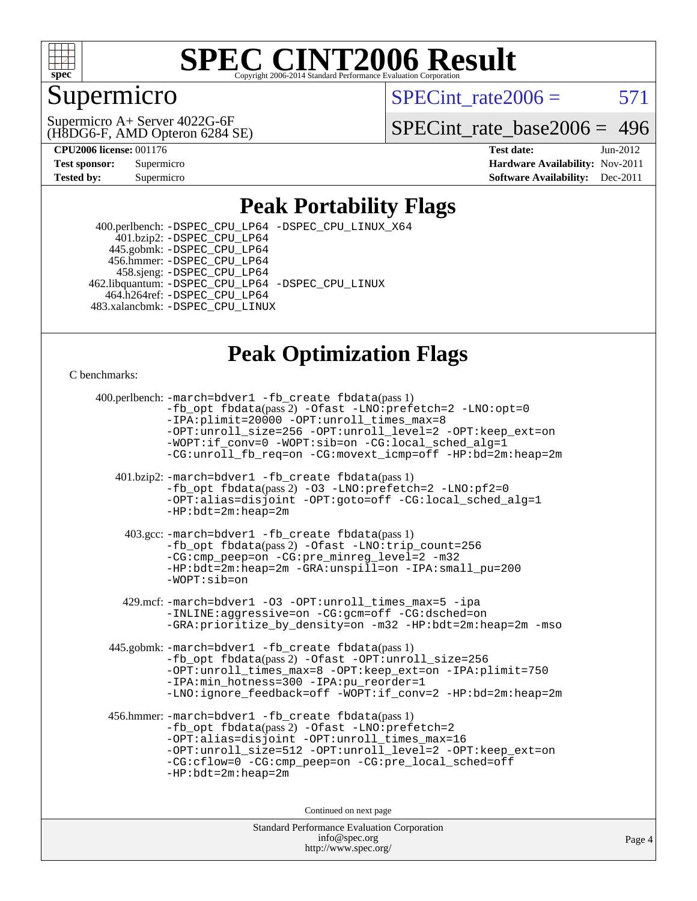

### Supermicro

SPECint rate $2006 = 571$ 

(H8DG6-F, AMD Opteron 6284 SE) Supermicro A+ Server 4022G-6F

[SPECint\\_rate\\_base2006 =](http://www.spec.org/auto/cpu2006/Docs/result-fields.html#SPECintratebase2006) 496

| <b>Test sponsor:</b> | Supermicro |
|----------------------|------------|
| <b>Tested by:</b>    | Supermicro |

**[CPU2006 license:](http://www.spec.org/auto/cpu2006/Docs/result-fields.html#CPU2006license)** 001176 **[Test date:](http://www.spec.org/auto/cpu2006/Docs/result-fields.html#Testdate)** Jun-2012 **[Hardware Availability:](http://www.spec.org/auto/cpu2006/Docs/result-fields.html#HardwareAvailability)** Nov-2011 **[Software Availability:](http://www.spec.org/auto/cpu2006/Docs/result-fields.html#SoftwareAvailability)** Dec-2011

#### **[Peak Portability Flags](http://www.spec.org/auto/cpu2006/Docs/result-fields.html#PeakPortabilityFlags)**

 400.perlbench: [-DSPEC\\_CPU\\_LP64](http://www.spec.org/cpu2006/results/res2012q3/cpu2006-20120615-22905.flags.html#b400.perlbench_peakPORTABILITY_DSPEC_CPU_LP64) [-DSPEC\\_CPU\\_LINUX\\_X64](http://www.spec.org/cpu2006/results/res2012q3/cpu2006-20120615-22905.flags.html#b400.perlbench_peakCPORTABILITY_DSPEC_CPU_LINUX_X64) 401.bzip2: [-DSPEC\\_CPU\\_LP64](http://www.spec.org/cpu2006/results/res2012q3/cpu2006-20120615-22905.flags.html#suite_peakPORTABILITY401_bzip2_DSPEC_CPU_LP64) 445.gobmk: [-DSPEC\\_CPU\\_LP64](http://www.spec.org/cpu2006/results/res2012q3/cpu2006-20120615-22905.flags.html#suite_peakPORTABILITY445_gobmk_DSPEC_CPU_LP64) 456.hmmer: [-DSPEC\\_CPU\\_LP64](http://www.spec.org/cpu2006/results/res2012q3/cpu2006-20120615-22905.flags.html#suite_peakPORTABILITY456_hmmer_DSPEC_CPU_LP64) 458.sjeng: [-DSPEC\\_CPU\\_LP64](http://www.spec.org/cpu2006/results/res2012q3/cpu2006-20120615-22905.flags.html#suite_peakPORTABILITY458_sjeng_DSPEC_CPU_LP64) 462.libquantum: [-DSPEC\\_CPU\\_LP64](http://www.spec.org/cpu2006/results/res2012q3/cpu2006-20120615-22905.flags.html#suite_peakPORTABILITY462_libquantum_DSPEC_CPU_LP64) [-DSPEC\\_CPU\\_LINUX](http://www.spec.org/cpu2006/results/res2012q3/cpu2006-20120615-22905.flags.html#b462.libquantum_peakCPORTABILITY_DSPEC_CPU_LINUX) 464.h264ref: [-DSPEC\\_CPU\\_LP64](http://www.spec.org/cpu2006/results/res2012q3/cpu2006-20120615-22905.flags.html#suite_peakPORTABILITY464_h264ref_DSPEC_CPU_LP64) 483.xalancbmk: [-DSPEC\\_CPU\\_LINUX](http://www.spec.org/cpu2006/results/res2012q3/cpu2006-20120615-22905.flags.html#b483.xalancbmk_peakCXXPORTABILITY_DSPEC_CPU_LINUX)

### **[Peak Optimization Flags](http://www.spec.org/auto/cpu2006/Docs/result-fields.html#PeakOptimizationFlags)**

[C benchmarks](http://www.spec.org/auto/cpu2006/Docs/result-fields.html#Cbenchmarks):

 400.perlbench: [-march=bdver1](http://www.spec.org/cpu2006/results/res2012q3/cpu2006-20120615-22905.flags.html#user_peakCCLD400_perlbench_F-march_fdb9f2653a6b3eaa60be4cf93a9ba5f3) [-fb\\_create fbdata](http://www.spec.org/cpu2006/results/res2012q3/cpu2006-20120615-22905.flags.html#user_peakPASS1_CFLAGSPASS1_LDFLAGS400_perlbench_F-fb_create_filename)(pass 1) [-fb\\_opt fbdata](http://www.spec.org/cpu2006/results/res2012q3/cpu2006-20120615-22905.flags.html#user_peakPASS2_CFLAGSPASS2_LDFLAGS400_perlbench_F-fb_opt_filename)(pass 2) [-Ofast](http://www.spec.org/cpu2006/results/res2012q3/cpu2006-20120615-22905.flags.html#user_peakCOPTIMIZE400_perlbench_F-Ofast) [-LNO:prefetch=2](http://www.spec.org/cpu2006/results/res2012q3/cpu2006-20120615-22905.flags.html#user_peakCOPTIMIZE400_perlbench_F-LNO:prefetch_9aee81855ba0592a3c8a40ba7b041143) [-LNO:opt=0](http://www.spec.org/cpu2006/results/res2012q3/cpu2006-20120615-22905.flags.html#user_peakCOPTIMIZE400_perlbench_F-LNO:opt_b91e8b13d06f45039299c6496cc69a5f) [-IPA:plimit=20000](http://www.spec.org/cpu2006/results/res2012q3/cpu2006-20120615-22905.flags.html#user_peakCOPTIMIZE400_perlbench_F-IPA:plimit_89e6fd9421ace0d5dab294a0a1b8be33) -OPT:unroll times max=8 [-OPT:unroll\\_size=256](http://www.spec.org/cpu2006/results/res2012q3/cpu2006-20120615-22905.flags.html#user_peakCOPTIMIZE400_perlbench_F-OPT:unroll_size_dfa492f42f50f580c3837c8b22d14f27) [-OPT:unroll\\_level=2](http://www.spec.org/cpu2006/results/res2012q3/cpu2006-20120615-22905.flags.html#user_peakCOPTIMIZE400_perlbench_F-OPT:unroll_level_2cd767e66711a193dd7aad8ffe1e4d20) [-OPT:keep\\_ext=on](http://www.spec.org/cpu2006/results/res2012q3/cpu2006-20120615-22905.flags.html#user_peakCOPTIMIZE400_perlbench_F-OPT:keep_ext_4dbb9969188886aadf10437ce9577910) [-WOPT:if\\_conv=0](http://www.spec.org/cpu2006/results/res2012q3/cpu2006-20120615-22905.flags.html#user_peakCOPTIMIZE400_perlbench_F-WOPT:if_conv_3763321a358ff896b32d6152fd83e145) [-WOPT:sib=on](http://www.spec.org/cpu2006/results/res2012q3/cpu2006-20120615-22905.flags.html#user_peakCOPTIMIZE400_perlbench_F-WOPT:sib_922e769c7f0e2d4dff1b4919612a4b7b) [-CG:local\\_sched\\_alg=1](http://www.spec.org/cpu2006/results/res2012q3/cpu2006-20120615-22905.flags.html#user_peakCOPTIMIZE400_perlbench_F-CG:local_sched_alg_2175ca61f1a2717f1ec57b14995b9e7a) [-CG:unroll\\_fb\\_req=on](http://www.spec.org/cpu2006/results/res2012q3/cpu2006-20120615-22905.flags.html#user_peakCOPTIMIZE400_perlbench_F-CG:unroll_fb_req_6669f978801820a53c68eded7a4f0485) [-CG:movext\\_icmp=off](http://www.spec.org/cpu2006/results/res2012q3/cpu2006-20120615-22905.flags.html#user_peakCOPTIMIZE400_perlbench_F-CG:movext_icmp_460c980612b8c1bf4cfe85e9a0188f7b) [-HP:bd=2m:heap=2m](http://www.spec.org/cpu2006/results/res2012q3/cpu2006-20120615-22905.flags.html#user_peakCOPTIMIZE400_perlbench_F-HUGEPAGE_539c723a9f9bd1bd95cd839aeb740bae) 401.bzip2: [-march=bdver1](http://www.spec.org/cpu2006/results/res2012q3/cpu2006-20120615-22905.flags.html#user_peakCCLD401_bzip2_F-march_fdb9f2653a6b3eaa60be4cf93a9ba5f3) [-fb\\_create fbdata](http://www.spec.org/cpu2006/results/res2012q3/cpu2006-20120615-22905.flags.html#user_peakPASS1_CFLAGSPASS1_LDFLAGS401_bzip2_F-fb_create_filename)(pass 1) [-fb\\_opt fbdata](http://www.spec.org/cpu2006/results/res2012q3/cpu2006-20120615-22905.flags.html#user_peakPASS2_CFLAGSPASS2_LDFLAGS401_bzip2_F-fb_opt_filename)(pass 2) [-O3](http://www.spec.org/cpu2006/results/res2012q3/cpu2006-20120615-22905.flags.html#user_peakCOPTIMIZE401_bzip2_F-O3) [-LNO:prefetch=2](http://www.spec.org/cpu2006/results/res2012q3/cpu2006-20120615-22905.flags.html#user_peakCOPTIMIZE401_bzip2_F-LNO:prefetch_9aee81855ba0592a3c8a40ba7b041143) [-LNO:pf2=0](http://www.spec.org/cpu2006/results/res2012q3/cpu2006-20120615-22905.flags.html#user_peakCOPTIMIZE401_bzip2_F-LNO:pf2_07981756300a2e0b4788bc5b1051435b) [-OPT:alias=disjoint](http://www.spec.org/cpu2006/results/res2012q3/cpu2006-20120615-22905.flags.html#user_peakCOPTIMIZE401_bzip2_F-OPT:alias_af85d624bc8c113f27b06a81a9df063d) [-OPT:goto=off](http://www.spec.org/cpu2006/results/res2012q3/cpu2006-20120615-22905.flags.html#user_peakCOPTIMIZE401_bzip2_F-OPT:goto_b8760493db7ddb90acc865b6d90bb5de) [-CG:local\\_sched\\_alg=1](http://www.spec.org/cpu2006/results/res2012q3/cpu2006-20120615-22905.flags.html#user_peakCOPTIMIZE401_bzip2_F-CG:local_sched_alg_2175ca61f1a2717f1ec57b14995b9e7a) [-HP:bdt=2m:heap=2m](http://www.spec.org/cpu2006/results/res2012q3/cpu2006-20120615-22905.flags.html#user_peakCOPTIMIZE401_bzip2_F-HUGEPAGE_855e97383b49831f390a2af16fe7202f) 403.gcc: [-march=bdver1](http://www.spec.org/cpu2006/results/res2012q3/cpu2006-20120615-22905.flags.html#user_peakCCLD403_gcc_F-march_fdb9f2653a6b3eaa60be4cf93a9ba5f3) [-fb\\_create fbdata](http://www.spec.org/cpu2006/results/res2012q3/cpu2006-20120615-22905.flags.html#user_peakPASS1_CFLAGSPASS1_LDFLAGS403_gcc_F-fb_create_filename)(pass 1) [-fb\\_opt fbdata](http://www.spec.org/cpu2006/results/res2012q3/cpu2006-20120615-22905.flags.html#user_peakPASS2_CFLAGSPASS2_LDFLAGS403_gcc_F-fb_opt_filename)(pass 2) [-Ofast](http://www.spec.org/cpu2006/results/res2012q3/cpu2006-20120615-22905.flags.html#user_peakCOPTIMIZE403_gcc_F-Ofast) [-LNO:trip\\_count=256](http://www.spec.org/cpu2006/results/res2012q3/cpu2006-20120615-22905.flags.html#user_peakCOPTIMIZE403_gcc_F-LNO:trip_count_fda57506a3ecf9651535a9a8fb03b434) [-CG:cmp\\_peep=on](http://www.spec.org/cpu2006/results/res2012q3/cpu2006-20120615-22905.flags.html#user_peakCOPTIMIZE403_gcc_F-CG:cmp_peep_ab90c979e95bee1f1f617a32622424ed) [-CG:pre\\_minreg\\_level=2](http://www.spec.org/cpu2006/results/res2012q3/cpu2006-20120615-22905.flags.html#user_peakCOPTIMIZE403_gcc_F-CG:pre_minreg_level_7a4f6ecddb7c61e5a5fb2e3c8bb4dd9d) [-m32](http://www.spec.org/cpu2006/results/res2012q3/cpu2006-20120615-22905.flags.html#user_peakCOPTIMIZE403_gcc_F-m32) [-HP:bdt=2m:heap=2m](http://www.spec.org/cpu2006/results/res2012q3/cpu2006-20120615-22905.flags.html#user_peakCOPTIMIZE403_gcc_F-HUGEPAGE_855e97383b49831f390a2af16fe7202f) [-GRA:unspill=on](http://www.spec.org/cpu2006/results/res2012q3/cpu2006-20120615-22905.flags.html#user_peakCOPTIMIZE403_gcc_F-GRA:unspill_1a6c98043856890311246be72b057593) [-IPA:small\\_pu=200](http://www.spec.org/cpu2006/results/res2012q3/cpu2006-20120615-22905.flags.html#user_peakCOPTIMIZE403_gcc_F-IPA:small_pu_9e003d10925fc6bd9336e5337d9e3a22) [-WOPT:sib=on](http://www.spec.org/cpu2006/results/res2012q3/cpu2006-20120615-22905.flags.html#user_peakCOPTIMIZE403_gcc_F-WOPT:sib_922e769c7f0e2d4dff1b4919612a4b7b) 429.mcf: [-march=bdver1](http://www.spec.org/cpu2006/results/res2012q3/cpu2006-20120615-22905.flags.html#user_peakCCLD429_mcf_F-march_fdb9f2653a6b3eaa60be4cf93a9ba5f3) [-O3](http://www.spec.org/cpu2006/results/res2012q3/cpu2006-20120615-22905.flags.html#user_peakCOPTIMIZE429_mcf_F-O3) [-OPT:unroll\\_times\\_max=5](http://www.spec.org/cpu2006/results/res2012q3/cpu2006-20120615-22905.flags.html#user_peakCOPTIMIZE429_mcf_F-OPT:unroll_times_max_41568a7af56e14658911ef351ee37d74) [-ipa](http://www.spec.org/cpu2006/results/res2012q3/cpu2006-20120615-22905.flags.html#user_peakCOPTIMIZE429_mcf_F-ipa) [-INLINE:aggressive=on](http://www.spec.org/cpu2006/results/res2012q3/cpu2006-20120615-22905.flags.html#user_peakCOPTIMIZE429_mcf_F-INLINE:aggressive_e14807c0a1e56a6a83cb25ab07c7ae8a) [-CG:gcm=off](http://www.spec.org/cpu2006/results/res2012q3/cpu2006-20120615-22905.flags.html#user_peakCOPTIMIZE429_mcf_F-CG:gcm_3afc0477d086a9a9afc1ccea25488f06) [-CG:dsched=on](http://www.spec.org/cpu2006/results/res2012q3/cpu2006-20120615-22905.flags.html#user_peakCOPTIMIZE429_mcf_F-CG:dsched_25fd6bf9b1a971fa5ea06b24e400231d) [-GRA:prioritize\\_by\\_density=on](http://www.spec.org/cpu2006/results/res2012q3/cpu2006-20120615-22905.flags.html#user_peakCOPTIMIZE429_mcf_F-GRA:prioritize_by_density_342c4fb73fe18829f920373223f095a5) [-m32](http://www.spec.org/cpu2006/results/res2012q3/cpu2006-20120615-22905.flags.html#user_peakCOPTIMIZE429_mcf_F-m32) [-HP:bdt=2m:heap=2m](http://www.spec.org/cpu2006/results/res2012q3/cpu2006-20120615-22905.flags.html#user_peakCOPTIMIZE429_mcf_F-HUGEPAGE_855e97383b49831f390a2af16fe7202f) [-mso](http://www.spec.org/cpu2006/results/res2012q3/cpu2006-20120615-22905.flags.html#user_peakCOPTIMIZE429_mcf_F-mso) 445.gobmk: [-march=bdver1](http://www.spec.org/cpu2006/results/res2012q3/cpu2006-20120615-22905.flags.html#user_peakCCLD445_gobmk_F-march_fdb9f2653a6b3eaa60be4cf93a9ba5f3) [-fb\\_create fbdata](http://www.spec.org/cpu2006/results/res2012q3/cpu2006-20120615-22905.flags.html#user_peakPASS1_CFLAGSPASS1_LDFLAGS445_gobmk_F-fb_create_filename)(pass 1) [-fb\\_opt fbdata](http://www.spec.org/cpu2006/results/res2012q3/cpu2006-20120615-22905.flags.html#user_peakPASS2_CFLAGSPASS2_LDFLAGS445_gobmk_F-fb_opt_filename)(pass 2) [-Ofast](http://www.spec.org/cpu2006/results/res2012q3/cpu2006-20120615-22905.flags.html#user_peakCOPTIMIZE445_gobmk_F-Ofast) [-OPT:unroll\\_size=256](http://www.spec.org/cpu2006/results/res2012q3/cpu2006-20120615-22905.flags.html#user_peakCOPTIMIZE445_gobmk_F-OPT:unroll_size_dfa492f42f50f580c3837c8b22d14f27) [-OPT:unroll\\_times\\_max=8](http://www.spec.org/cpu2006/results/res2012q3/cpu2006-20120615-22905.flags.html#user_peakCOPTIMIZE445_gobmk_F-OPT:unroll_times_max_1ad8852298ca2c36a68b2d007aae0e22) [-OPT:keep\\_ext=on](http://www.spec.org/cpu2006/results/res2012q3/cpu2006-20120615-22905.flags.html#user_peakCOPTIMIZE445_gobmk_F-OPT:keep_ext_4dbb9969188886aadf10437ce9577910) [-IPA:plimit=750](http://www.spec.org/cpu2006/results/res2012q3/cpu2006-20120615-22905.flags.html#user_peakCOPTIMIZE445_gobmk_F-IPA:plimit_d12b7edf4800746ab824f3a01a8ce117) [-IPA:min\\_hotness=300](http://www.spec.org/cpu2006/results/res2012q3/cpu2006-20120615-22905.flags.html#user_peakCOPTIMIZE445_gobmk_F-IPA:min_hotness_a22c9a7839d9fc5b8df1b53fa3adec91) [-IPA:pu\\_reorder=1](http://www.spec.org/cpu2006/results/res2012q3/cpu2006-20120615-22905.flags.html#user_peakCOPTIMIZE445_gobmk_F-IPA:pu_reorder_05e26b42f44c94362cdc386b470e6fd6) [-LNO:ignore\\_feedback=off](http://www.spec.org/cpu2006/results/res2012q3/cpu2006-20120615-22905.flags.html#user_peakCOPTIMIZE445_gobmk_F-LNO:ignore_feedback_1d6d06f39185b277a955c10dfd0a9a73) [-WOPT:if\\_conv=2](http://www.spec.org/cpu2006/results/res2012q3/cpu2006-20120615-22905.flags.html#user_peakCOPTIMIZE445_gobmk_F-WOPT:if_conv_e8462f40aca1486d344ee41d7d72a1be) [-HP:bd=2m:heap=2m](http://www.spec.org/cpu2006/results/res2012q3/cpu2006-20120615-22905.flags.html#user_peakCOPTIMIZE445_gobmk_F-HUGEPAGE_539c723a9f9bd1bd95cd839aeb740bae) 456.hmmer: [-march=bdver1](http://www.spec.org/cpu2006/results/res2012q3/cpu2006-20120615-22905.flags.html#user_peakCCLD456_hmmer_F-march_fdb9f2653a6b3eaa60be4cf93a9ba5f3) [-fb\\_create fbdata](http://www.spec.org/cpu2006/results/res2012q3/cpu2006-20120615-22905.flags.html#user_peakPASS1_CFLAGSPASS1_LDFLAGS456_hmmer_F-fb_create_filename)(pass 1) [-fb\\_opt fbdata](http://www.spec.org/cpu2006/results/res2012q3/cpu2006-20120615-22905.flags.html#user_peakPASS2_CFLAGSPASS2_LDFLAGS456_hmmer_F-fb_opt_filename)(pass 2) [-Ofast](http://www.spec.org/cpu2006/results/res2012q3/cpu2006-20120615-22905.flags.html#user_peakCOPTIMIZE456_hmmer_F-Ofast) [-LNO:prefetch=2](http://www.spec.org/cpu2006/results/res2012q3/cpu2006-20120615-22905.flags.html#user_peakCOPTIMIZE456_hmmer_F-LNO:prefetch_9aee81855ba0592a3c8a40ba7b041143) [-OPT:alias=disjoint](http://www.spec.org/cpu2006/results/res2012q3/cpu2006-20120615-22905.flags.html#user_peakCOPTIMIZE456_hmmer_F-OPT:alias_af85d624bc8c113f27b06a81a9df063d) [-OPT:unroll\\_times\\_max=16](http://www.spec.org/cpu2006/results/res2012q3/cpu2006-20120615-22905.flags.html#user_peakCOPTIMIZE456_hmmer_F-OPT:unroll_times_max_5d3a7ea8aede02c15c5f97a188fc301e) [-OPT:unroll\\_size=512](http://www.spec.org/cpu2006/results/res2012q3/cpu2006-20120615-22905.flags.html#user_peakCOPTIMIZE456_hmmer_F-OPT:unroll_size_79cfbf3314b86bd6f3f6a82a9903ba97) [-OPT:unroll\\_level=2](http://www.spec.org/cpu2006/results/res2012q3/cpu2006-20120615-22905.flags.html#user_peakCOPTIMIZE456_hmmer_F-OPT:unroll_level_2cd767e66711a193dd7aad8ffe1e4d20) [-OPT:keep\\_ext=on](http://www.spec.org/cpu2006/results/res2012q3/cpu2006-20120615-22905.flags.html#user_peakCOPTIMIZE456_hmmer_F-OPT:keep_ext_4dbb9969188886aadf10437ce9577910) [-CG:cflow=0](http://www.spec.org/cpu2006/results/res2012q3/cpu2006-20120615-22905.flags.html#user_peakCOPTIMIZE456_hmmer_F-CG:cflow_75ba632a6a95410c488fc5f313a16b42) [-CG:cmp\\_peep=on](http://www.spec.org/cpu2006/results/res2012q3/cpu2006-20120615-22905.flags.html#user_peakCOPTIMIZE456_hmmer_F-CG:cmp_peep_ab90c979e95bee1f1f617a32622424ed) [-CG:pre\\_local\\_sched=off](http://www.spec.org/cpu2006/results/res2012q3/cpu2006-20120615-22905.flags.html#user_peakCOPTIMIZE456_hmmer_F-CG:pre_local_sched_7bb173f1e7fa183e34a713f624fd3d48) [-HP:bdt=2m:heap=2m](http://www.spec.org/cpu2006/results/res2012q3/cpu2006-20120615-22905.flags.html#user_peakCOPTIMIZE456_hmmer_F-HUGEPAGE_855e97383b49831f390a2af16fe7202f) Continued on next page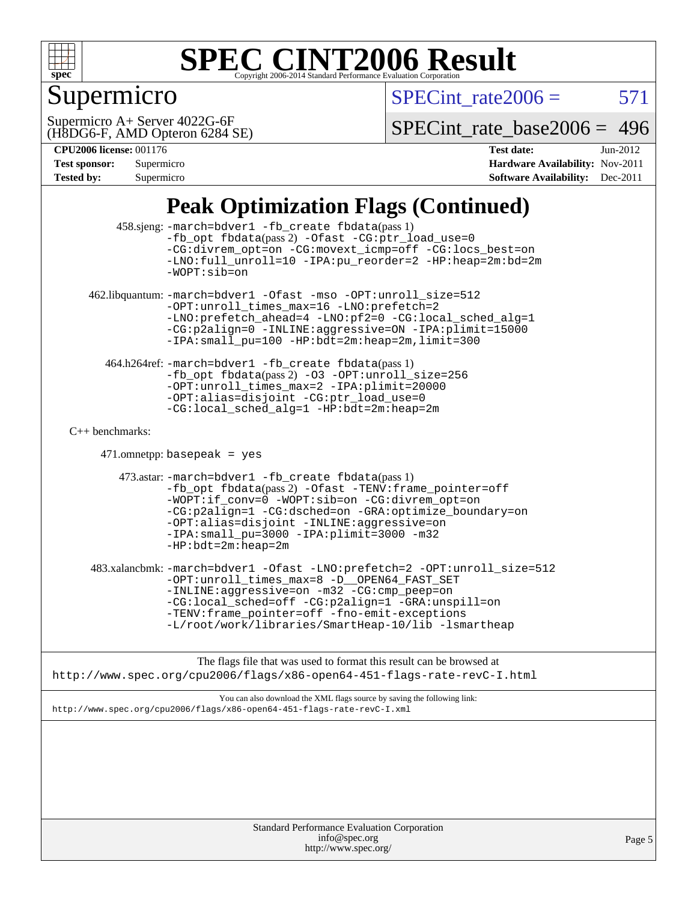

## Supermicro

 $SPECTnt_rate2006 = 571$ 

(H8DG6-F, AMD Opteron 6284 SE) Supermicro A+ Server 4022G-6F

[SPECint\\_rate\\_base2006 =](http://www.spec.org/auto/cpu2006/Docs/result-fields.html#SPECintratebase2006) 496

#### **[CPU2006 license:](http://www.spec.org/auto/cpu2006/Docs/result-fields.html#CPU2006license)** 001176 **[Test date:](http://www.spec.org/auto/cpu2006/Docs/result-fields.html#Testdate)** Jun-2012

| <b>Test sponsor:</b> | Supermicro |
|----------------------|------------|
| <b>Tested by:</b>    | Supermicro |

**[Hardware Availability:](http://www.spec.org/auto/cpu2006/Docs/result-fields.html#HardwareAvailability)** Nov-2011 **[Software Availability:](http://www.spec.org/auto/cpu2006/Docs/result-fields.html#SoftwareAvailability)** Dec-2011

## **[Peak Optimization Flags \(Continued\)](http://www.spec.org/auto/cpu2006/Docs/result-fields.html#PeakOptimizationFlags)**

|                      | $\sim$                                                                                                                                                                                                                                                                                                                                             |        |
|----------------------|----------------------------------------------------------------------------------------------------------------------------------------------------------------------------------------------------------------------------------------------------------------------------------------------------------------------------------------------------|--------|
|                      | 458.sjeng: -march=bdver1 -fb_create fbdata(pass 1)<br>-fb_opt fbdata(pass 2) -Ofast -CG:ptr_load_use=0<br>-CG:divrem_opt=on -CG:movext_icmp=off -CG:locs_best=on<br>-LNO:full_unroll=10 -IPA:pu_reorder=2 -HP:heap=2m:bd=2m<br>$-WOPT: sib=on$                                                                                                     |        |
|                      | 462.libquantum: -march=bdver1 -Ofast -mso -OPT:unroll_size=512<br>-OPT:unroll_times_max=16 -LNO:prefetch=2<br>-LNO:prefetch_ahead=4 -LNO:pf2=0 -CG:local_sched_alg=1<br>-CG:p2align=0 -INLINE:aggressive=ON -IPA:plimit=15000<br>-IPA: small_pu=100 -HP: bdt=2m: heap=2m, limit=300                                                                |        |
|                      | 464.h264ref: -march=bdver1 -fb_create fbdata(pass 1)<br>-fb_opt fbdata(pass 2) -03 -OPT:unroll_size=256<br>-OPT:unroll_times_max=2 -IPA:plimit=20000<br>-OPT:alias=disjoint -CG:ptr_load_use=0<br>-CG:local_sched_alg=1 -HP:bdt=2m:heap=2m                                                                                                         |        |
| $C_{++}$ benchmarks: |                                                                                                                                                                                                                                                                                                                                                    |        |
|                      | $471.$ omnetpp: basepeak = yes                                                                                                                                                                                                                                                                                                                     |        |
|                      | 473.astar: -march=bdver1 -fb_create fbdata(pass 1)<br>-fb opt fbdata(pass 2) - Ofast - TENV: frame pointer=off<br>$-WOPT$ : if conv=0 -WOPT: sib=on -CG: divrem opt=on<br>-CG:p2align=1 -CG:dsched=on -GRA:optimize_boundary=on<br>-OPT:alias=disjoint -INLINE:aggressive=on<br>-IPA: small_pu=3000 -IPA: plimit=3000 -m32<br>$-HP:bdt=2m:heap=2m$ |        |
|                      | 483.xalancbmk: -march=bdver1 -Ofast -LNO:prefetch=2 -OPT:unroll_size=512<br>-OPT:unroll_times_max=8 -D__OPEN64_FAST_SET<br>-INLINE:aggressive=on -m32 -CG:cmp_peep=on<br>-CG:local_sched=off -CG:p2align=1 -GRA:unspill=on<br>-TENV: frame_pointer=off -fno-emit-exceptions<br>-L/root/work/libraries/SmartHeap-10/lib -lsmartheap                 |        |
|                      | The flags file that was used to format this result can be browsed at<br>http://www.spec.org/cpu2006/flags/x86-open64-451-flags-rate-revC-I.html                                                                                                                                                                                                    |        |
|                      | You can also download the XML flags source by saving the following link:<br>http://www.spec.org/cpu2006/flags/x86-open64-451-flags-rate-revC-I.xml                                                                                                                                                                                                 |        |
|                      |                                                                                                                                                                                                                                                                                                                                                    |        |
|                      | Standard Performance Evaluation Corporation<br>info@spec.org<br>http://www.spec.org/                                                                                                                                                                                                                                                               | Page 5 |
|                      |                                                                                                                                                                                                                                                                                                                                                    |        |